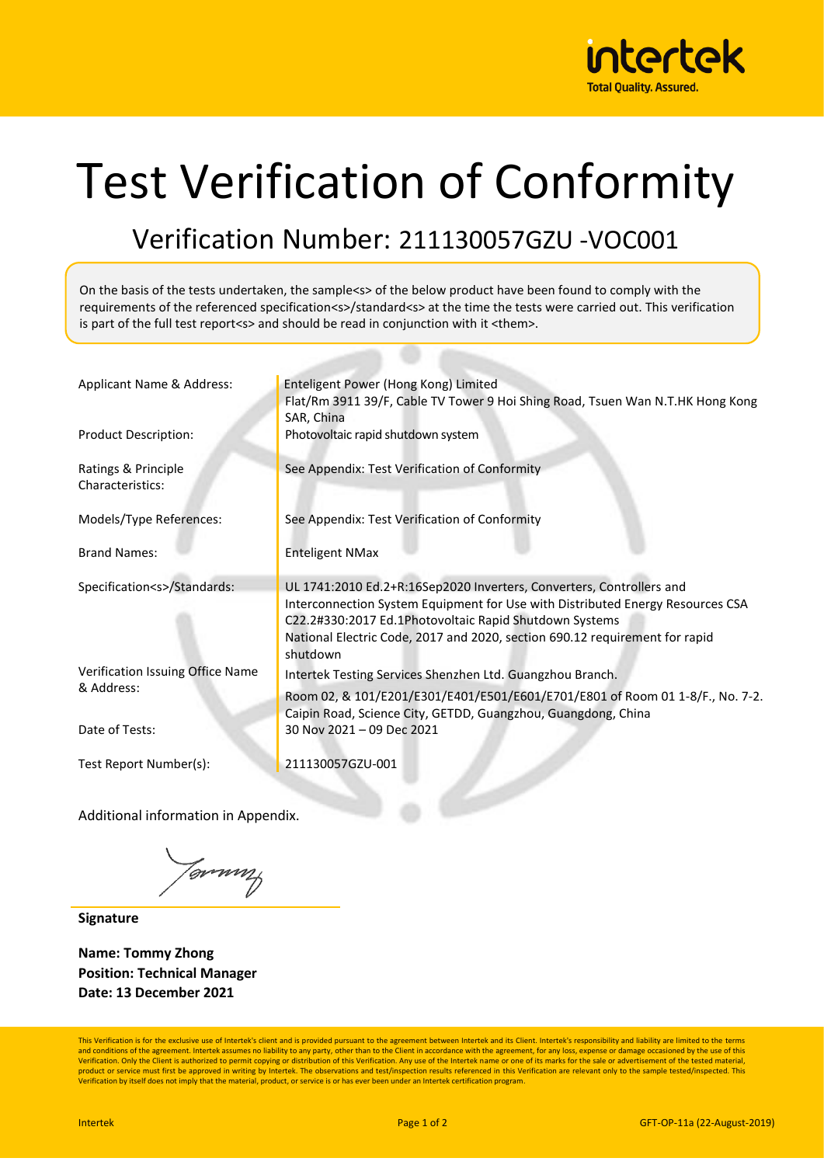

## Test Verification of Conformity

## Verification Number: 211130057GZU -VOC001

On the basis of the tests undertaken, the sample<s> of the below product have been found to comply with the requirements of the referenced specification<s>/standard<s> at the time the tests were carried out. This verification is part of the full test report<s> and should be read in conjunction with it <them>.

| Applicant Name & Address:                      | Enteligent Power (Hong Kong) Limited<br>Flat/Rm 3911 39/F, Cable TV Tower 9 Hoi Shing Road, Tsuen Wan N.T.HK Hong Kong<br>SAR, China                                                                                                                                                                        |  |  |  |
|------------------------------------------------|-------------------------------------------------------------------------------------------------------------------------------------------------------------------------------------------------------------------------------------------------------------------------------------------------------------|--|--|--|
| <b>Product Description:</b>                    | Photovoltaic rapid shutdown system                                                                                                                                                                                                                                                                          |  |  |  |
| Ratings & Principle<br>Characteristics:        | See Appendix: Test Verification of Conformity                                                                                                                                                                                                                                                               |  |  |  |
| Models/Type References:                        | See Appendix: Test Verification of Conformity                                                                                                                                                                                                                                                               |  |  |  |
| <b>Brand Names:</b>                            | <b>Enteligent NMax</b>                                                                                                                                                                                                                                                                                      |  |  |  |
| Specification <s>/Standards:</s>               | UL 1741:2010 Ed.2+R:16Sep2020 Inverters, Converters, Controllers and<br>Interconnection System Equipment for Use with Distributed Energy Resources CSA<br>C22.2#330:2017 Ed.1Photovoltaic Rapid Shutdown Systems<br>National Electric Code, 2017 and 2020, section 690.12 requirement for rapid<br>shutdown |  |  |  |
| Verification Issuing Office Name<br>& Address: | Intertek Testing Services Shenzhen Ltd. Guangzhou Branch.<br>Room 02, & 101/E201/E301/E401/E501/E601/E701/E801 of Room 01 1-8/F., No. 7-2.<br>Caipin Road, Science City, GETDD, Guangzhou, Guangdong, China                                                                                                 |  |  |  |
| Date of Tests:                                 | 30 Nov 2021 - 09 Dec 2021                                                                                                                                                                                                                                                                                   |  |  |  |
| Test Report Number(s):                         | 211130057GZU-001                                                                                                                                                                                                                                                                                            |  |  |  |

Additional information in Appendix.

Jemmy

**Signature**

**Name: Tommy Zhong Position: Technical Manager Date: 13 December 2021**

This Verification is for the exclusive use of Intertek's client and is provided pursuant to the agreement between Intertek and its Client. Intertek's responsibility and liability are limited to the terms and conditions of the agreement. Intertek assumes no liability to any party, other than to the Client in accordance with the agreement, for any loss, expense or damage occasioned by the use of this<br>Verification. Only the C product or service must first be approved in writing by Intertek. The observations and test/inspection results referenced in this Verification are relevant only to the sample tested/inspected. This Verification by itself does not imply that the material, product, or service is or has ever been under an Intertek certification program.